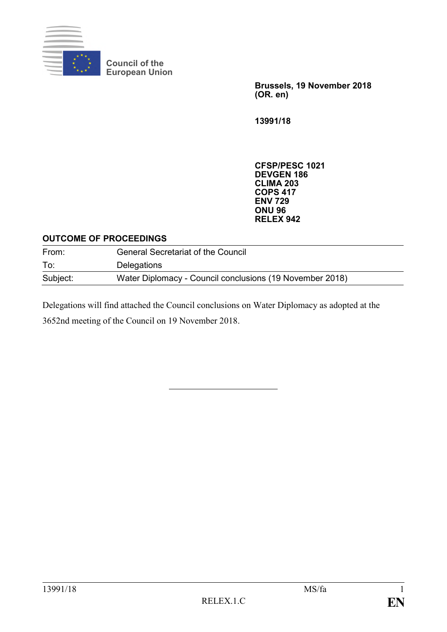

**Council of the European Union**

> **Brussels, 19 November 2018 (OR. en)**

**13991/18**

**CFSP/PESC 1021 DEVGEN 186 CLIMA 203 COPS 417 ENV 729 ONU 96 RELEX 942**

#### **OUTCOME OF PROCEEDINGS**

| From:    | <b>General Secretariat of the Council</b>                |
|----------|----------------------------------------------------------|
| To:      | Delegations                                              |
| Subject: | Water Diplomacy - Council conclusions (19 November 2018) |

Delegations will find attached the Council conclusions on Water Diplomacy as adopted at the 3652nd meeting of the Council on 19 November 2018.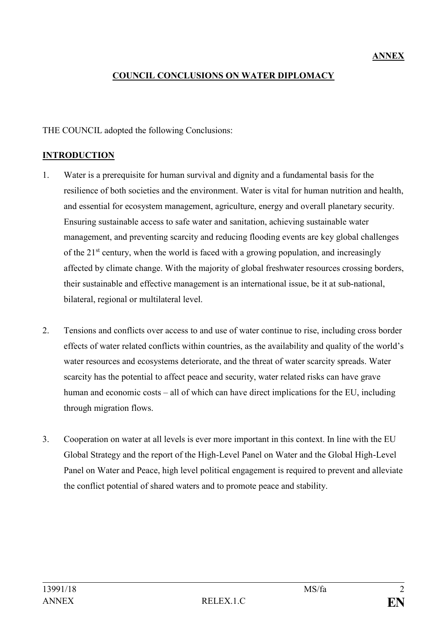## **COUNCIL CONCLUSIONS ON WATER DIPLOMACY**

#### THE COUNCIL adopted the following Conclusions:

#### **INTRODUCTION**

- 1. Water is a prerequisite for human survival and dignity and a fundamental basis for the resilience of both societies and the environment. Water is vital for human nutrition and health, and essential for ecosystem management, agriculture, energy and overall planetary security. Ensuring sustainable access to safe water and sanitation, achieving sustainable water management, and preventing scarcity and reducing flooding events are key global challenges of the  $21<sup>st</sup>$  century, when the world is faced with a growing population, and increasingly affected by climate change. With the majority of global freshwater resources crossing borders, their sustainable and effective management is an international issue, be it at sub-national, bilateral, regional or multilateral level.
- 2. Tensions and conflicts over access to and use of water continue to rise, including cross border effects of water related conflicts within countries, as the availability and quality of the world's water resources and ecosystems deteriorate, and the threat of water scarcity spreads. Water scarcity has the potential to affect peace and security, water related risks can have grave human and economic costs – all of which can have direct implications for the EU, including through migration flows.
- 3. Cooperation on water at all levels is ever more important in this context. In line with the EU Global Strategy and the report of the High-Level Panel on Water and the Global High-Level Panel on Water and Peace, high level political engagement is required to prevent and alleviate the conflict potential of shared waters and to promote peace and stability.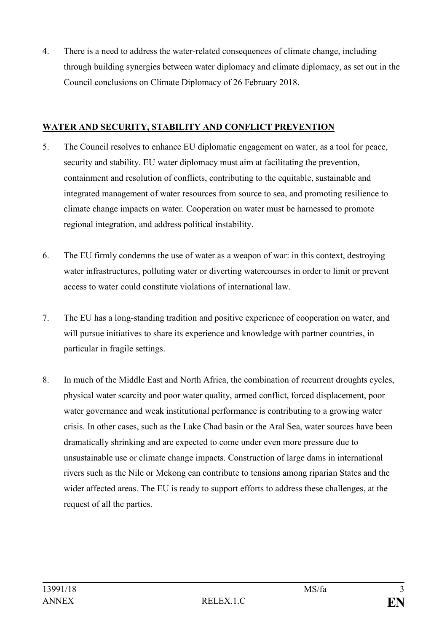4. There is a need to address the water-related consequences of climate change, including through building synergies between water diplomacy and climate diplomacy, as set out in the Council conclusions on Climate Diplomacy of 26 February 2018.

### **WATER AND SECURITY, STABILITY AND CONFLICT PREVENTION**

- 5. The Council resolves to enhance EU diplomatic engagement on water, as a tool for peace, security and stability. EU water diplomacy must aim at facilitating the prevention, containment and resolution of conflicts, contributing to the equitable, sustainable and integrated management of water resources from source to sea, and promoting resilience to climate change impacts on water. Cooperation on water must be harnessed to promote regional integration, and address political instability.
- 6. The EU firmly condemns the use of water as a weapon of war: in this context, destroying water infrastructures, polluting water or diverting watercourses in order to limit or prevent access to water could constitute violations of international law.
- 7. The EU has a long-standing tradition and positive experience of cooperation on water, and will pursue initiatives to share its experience and knowledge with partner countries, in particular in fragile settings.
- 8. In much of the Middle East and North Africa, the combination of recurrent droughts cycles, physical water scarcity and poor water quality, armed conflict, forced displacement, poor water governance and weak institutional performance is contributing to a growing water crisis. In other cases, such as the Lake Chad basin or the Aral Sea, water sources have been dramatically shrinking and are expected to come under even more pressure due to unsustainable use or climate change impacts. Construction of large dams in international rivers such as the Nile or Mekong can contribute to tensions among riparian States and the wider affected areas. The EU is ready to support efforts to address these challenges, at the request of all the parties.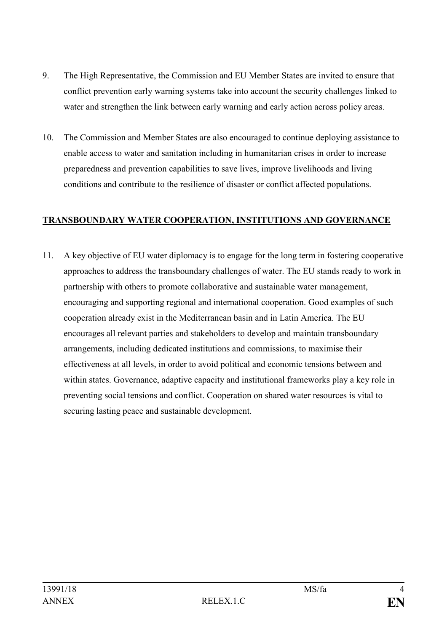- 9. The High Representative, the Commission and EU Member States are invited to ensure that conflict prevention early warning systems take into account the security challenges linked to water and strengthen the link between early warning and early action across policy areas.
- 10. The Commission and Member States are also encouraged to continue deploying assistance to enable access to water and sanitation including in humanitarian crises in order to increase preparedness and prevention capabilities to save lives, improve livelihoods and living conditions and contribute to the resilience of disaster or conflict affected populations.

#### **TRANSBOUNDARY WATER COOPERATION, INSTITUTIONS AND GOVERNANCE**

11. A key objective of EU water diplomacy is to engage for the long term in fostering cooperative approaches to address the transboundary challenges of water. The EU stands ready to work in partnership with others to promote collaborative and sustainable water management, encouraging and supporting regional and international cooperation. Good examples of such cooperation already exist in the Mediterranean basin and in Latin America. The EU encourages all relevant parties and stakeholders to develop and maintain transboundary arrangements, including dedicated institutions and commissions, to maximise their effectiveness at all levels, in order to avoid political and economic tensions between and within states. Governance, adaptive capacity and institutional frameworks play a key role in preventing social tensions and conflict. Cooperation on shared water resources is vital to securing lasting peace and sustainable development.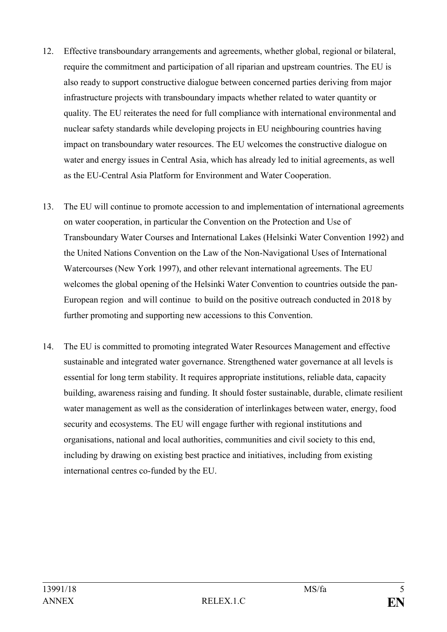- 12. Effective transboundary arrangements and agreements, whether global, regional or bilateral, require the commitment and participation of all riparian and upstream countries. The EU is also ready to support constructive dialogue between concerned parties deriving from major infrastructure projects with transboundary impacts whether related to water quantity or quality. The EU reiterates the need for full compliance with international environmental and nuclear safety standards while developing projects in EU neighbouring countries having impact on transboundary water resources. The EU welcomes the constructive dialogue on water and energy issues in Central Asia, which has already led to initial agreements, as well as the EU-Central Asia Platform for Environment and Water Cooperation.
- 13. The EU will continue to promote accession to and implementation of international agreements on water cooperation, in particular the Convention on the Protection and Use of Transboundary Water Courses and International Lakes (Helsinki Water Convention 1992) and the United Nations Convention on the Law of the Non-Navigational Uses of International Watercourses (New York 1997), and other relevant international agreements. The EU welcomes the global opening of the Helsinki Water Convention to countries outside the pan-European region and will continue to build on the positive outreach conducted in 2018 by further promoting and supporting new accessions to this Convention.
- 14. The EU is committed to promoting integrated Water Resources Management and effective sustainable and integrated water governance. Strengthened water governance at all levels is essential for long term stability. It requires appropriate institutions, reliable data, capacity building, awareness raising and funding. It should foster sustainable, durable, climate resilient water management as well as the consideration of interlinkages between water, energy, food security and ecosystems. The EU will engage further with regional institutions and organisations, national and local authorities, communities and civil society to this end, including by drawing on existing best practice and initiatives, including from existing international centres co-funded by the EU.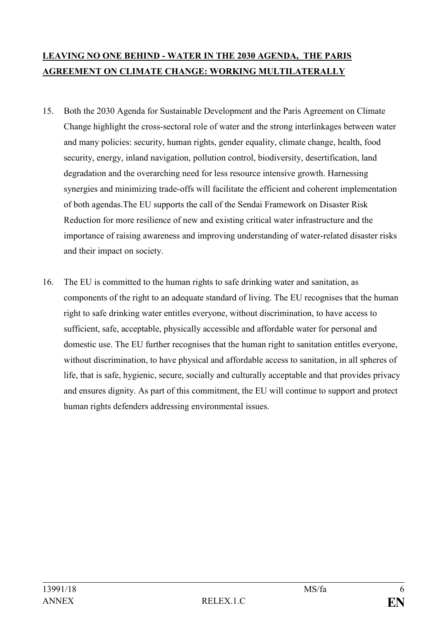# **LEAVING NO ONE BEHIND - WATER IN THE 2030 AGENDA, THE PARIS AGREEMENT ON CLIMATE CHANGE: WORKING MULTILATERALLY**

- 15. Both the 2030 Agenda for Sustainable Development and the Paris Agreement on Climate Change highlight the cross-sectoral role of water and the strong interlinkages between water and many policies: security, human rights, gender equality, climate change, health, food security, energy, inland navigation, pollution control, biodiversity, desertification, land degradation and the overarching need for less resource intensive growth. Harnessing synergies and minimizing trade-offs will facilitate the efficient and coherent implementation of both agendas.The EU supports the call of the Sendai Framework on Disaster Risk Reduction for more resilience of new and existing critical water infrastructure and the importance of raising awareness and improving understanding of water-related disaster risks and their impact on society.
- 16. The EU is committed to the human rights to safe drinking water and sanitation, as components of the right to an adequate standard of living. The EU recognises that the human right to safe drinking water entitles everyone, without discrimination, to have access to sufficient, safe, acceptable, physically accessible and affordable water for personal and domestic use. The EU further recognises that the human right to sanitation entitles everyone, without discrimination, to have physical and affordable access to sanitation, in all spheres of life, that is safe, hygienic, secure, socially and culturally acceptable and that provides privacy and ensures dignity. As part of this commitment, the EU will continue to support and protect human rights defenders addressing environmental issues.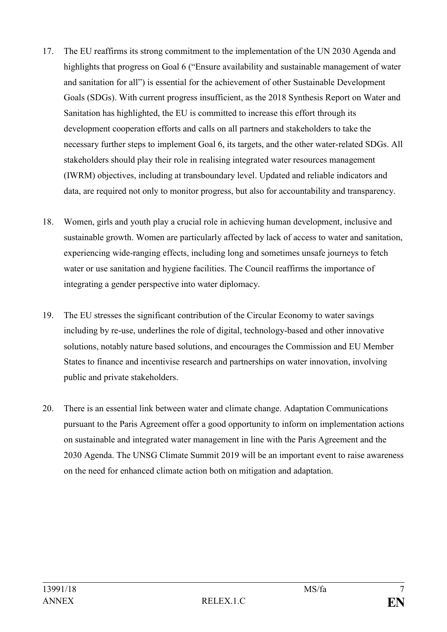- 17. The EU reaffirms its strong commitment to the implementation of the UN 2030 Agenda and highlights that progress on Goal 6 ("Ensure availability and sustainable management of water and sanitation for all") is essential for the achievement of other Sustainable Development Goals (SDGs). With current progress insufficient, as the 2018 Synthesis Report on Water and Sanitation has highlighted, the EU is committed to increase this effort through its development cooperation efforts and calls on all partners and stakeholders to take the necessary further steps to implement Goal 6, its targets, and the other water-related SDGs. All stakeholders should play their role in realising integrated water resources management (IWRM) objectives, including at transboundary level. Updated and reliable indicators and data, are required not only to monitor progress, but also for accountability and transparency.
- 18. Women, girls and youth play a crucial role in achieving human development, inclusive and sustainable growth. Women are particularly affected by lack of access to water and sanitation, experiencing wide-ranging effects, including long and sometimes unsafe journeys to fetch water or use sanitation and hygiene facilities. The Council reaffirms the importance of integrating a gender perspective into water diplomacy.
- 19. The EU stresses the significant contribution of the Circular Economy to water savings including by re-use, underlines the role of digital, technology-based and other innovative solutions, notably nature based solutions, and encourages the Commission and EU Member States to finance and incentivise research and partnerships on water innovation, involving public and private stakeholders.
- 20. There is an essential link between water and climate change. Adaptation Communications pursuant to the Paris Agreement offer a good opportunity to inform on implementation actions on sustainable and integrated water management in line with the Paris Agreement and the 2030 Agenda. The UNSG Climate Summit 2019 will be an important event to raise awareness on the need for enhanced climate action both on mitigation and adaptation.